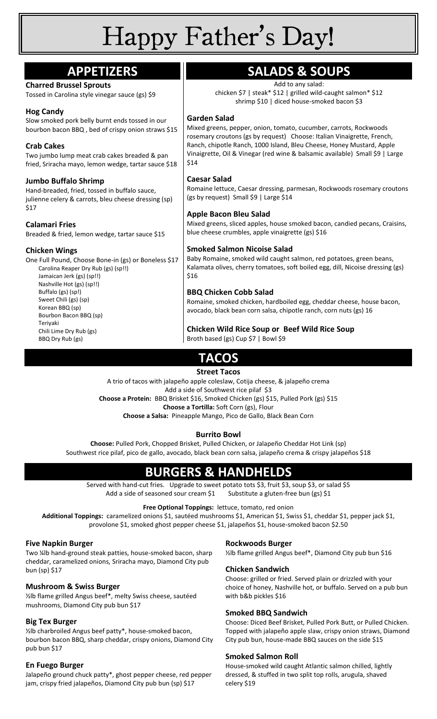# Happy Father's Day!

| <b>APPETIZERS</b>                                                                                    | <b>SALADS &amp; SOUPS</b>                                                                                                                   |
|------------------------------------------------------------------------------------------------------|---------------------------------------------------------------------------------------------------------------------------------------------|
| <b>Charred Brussel Sprouts</b>                                                                       | Add to any salad:                                                                                                                           |
| Tossed in Carolina style vinegar sauce (gs) \$9                                                      | chicken \$7   steak* \$12   grilled wild-caught salmon* \$12<br>shrimp \$10   diced house-smoked bacon \$3                                  |
| <b>Hog Candy</b>                                                                                     |                                                                                                                                             |
| Slow smoked pork belly burnt ends tossed in our                                                      | <b>Garden Salad</b>                                                                                                                         |
| bourbon bacon BBQ, bed of crispy onion straws \$15                                                   | Mixed greens, pepper, onion, tomato, cucumber, carrots, Rockwoods<br>rosemary croutons (gs by request) Choose: Italian Vinaigrette, French, |
| <b>Crab Cakes</b>                                                                                    | Ranch, chipotle Ranch, 1000 Island, Bleu Cheese, Honey Mustard, Apple                                                                       |
| Two jumbo lump meat crab cakes breaded & pan<br>fried, Sriracha mayo, lemon wedge, tartar sauce \$18 | Vinaigrette, Oil & Vinegar (red wine & balsamic available) Small \$9   Large<br>\$14                                                        |
| <b>Jumbo Buffalo Shrimp</b>                                                                          | <b>Caesar Salad</b>                                                                                                                         |
| Hand-breaded, fried, tossed in buffalo sauce,                                                        | Romaine lettuce, Caesar dressing, parmesan, Rockwoods rosemary croutons                                                                     |
| julienne celery & carrots, bleu cheese dressing (sp)                                                 | (gs by request) Small \$9   Large \$14                                                                                                      |
| \$17                                                                                                 |                                                                                                                                             |
|                                                                                                      | <b>Apple Bacon Bleu Salad</b>                                                                                                               |
| <b>Calamari Fries</b>                                                                                | Mixed greens, sliced apples, house smoked bacon, candied pecans, Craisins,                                                                  |
| Breaded & fried, lemon wedge, tartar sauce \$15                                                      | blue cheese crumbles, apple vinaigrette (gs) \$16                                                                                           |
| <b>Chicken Wings</b>                                                                                 | <b>Smoked Salmon Nicoise Salad</b>                                                                                                          |
| One Full Pound, Choose Bone-in (gs) or Boneless \$17                                                 | Baby Romaine, smoked wild caught salmon, red potatoes, green beans,                                                                         |
| Carolina Reaper Dry Rub (gs) (sp!!)                                                                  | Kalamata olives, cherry tomatoes, soft boiled egg, dill, Nicoise dressing (gs)                                                              |
| Jamaican Jerk (gs) (sp!!)                                                                            | \$16                                                                                                                                        |
| Nashville Hot (gs) (sp!!)<br>Buffalo (gs) (sp!)                                                      | <b>BBQ Chicken Cobb Salad</b>                                                                                                               |
| Sweet Chili (gs) (sp)                                                                                | Romaine, smoked chicken, hardboiled egg, cheddar cheese, house bacon,                                                                       |
| Korean BBQ (sp)                                                                                      | avocado, black bean corn salsa, chipotle ranch, corn nuts (gs) 16                                                                           |
| Bourbon Bacon BBQ (sp)                                                                               |                                                                                                                                             |
| Teriyaki<br>Chili Lime Dry Rub (gs)                                                                  | Chicken Wild Rice Soup or Beef Wild Rice Soup                                                                                               |
| BBQ Dry Rub (gs)                                                                                     | Broth based (gs) Cup \$7   Bowl \$9                                                                                                         |
|                                                                                                      |                                                                                                                                             |
| <b>TACOS</b>                                                                                         |                                                                                                                                             |

## **Street Tacos**

A trio of tacos with jalapeño apple coleslaw, Cotija cheese, & jalapeño crema Add a side of Southwest rice pilaf \$3

**Choose a Protein:** BBQ Brisket \$16, Smoked Chicken (gs) \$15, Pulled Pork (gs) \$15

**Choose a Tortilla:** Soft Corn (gs), Flour

**Choose a Salsa:** Pineapple Mango, Pico de Gallo, Black Bean Corn

#### **Burrito Bowl**

**Choose:** Pulled Pork, Chopped Brisket, Pulled Chicken, or Jalapeño Cheddar Hot Link (sp) Southwest rice pilaf, pico de gallo, avocado, black bean corn salsa, jalapeño crema & crispy jalapeños \$18

## **BURGERS & HANDHELDS**

Served with hand-cut fries. Upgrade to sweet potato tots \$3, fruit \$3, soup \$3, or salad \$5 Add a side of seasoned sour cream \$1 Substitute a gluten-free bun (gs) \$1

#### **Free Optional Toppings:** lettuce, tomato, red onion

**Additional Toppings:** caramelized onions \$1, sautéed mushrooms \$1, American \$1, Swiss \$1, cheddar \$1, pepper jack \$1, provolone \$1, smoked ghost pepper cheese \$1, jalapeños \$1, house-smoked bacon \$2.50

#### **Five Napkin Burger**

Two ¼lb hand-ground steak patties, house-smoked bacon, sharp cheddar, caramelized onions, Sriracha mayo, Diamond City pub bun (sp) \$17

#### **Mushroom & Swiss Burger**

½lb flame grilled Angus beef\*, melty Swiss cheese, sautéed mushrooms, Diamond City pub bun \$17

#### **Big Tex Burger**

½lb charbroiled Angus beef patty\*, house-smoked bacon, bourbon bacon BBQ, sharp cheddar, crispy onions, Diamond City pub bun \$17

#### **En Fuego Burger**

Jalapeño ground chuck patty\*, ghost pepper cheese, red pepper jam, crispy fried jalapeños, Diamond City pub bun (sp) \$17

#### **Rockwoods Burger**

½lb flame grilled Angus beef\*, Diamond City pub bun \$16

#### **Chicken Sandwich**

Choose: grilled or fried. Served plain or drizzled with your choice of honey, Nashville hot, or buffalo. Served on a pub bun with b&b pickles \$16

#### **Smoked BBQ Sandwich**

Choose: Diced Beef Brisket, Pulled Pork Butt, or Pulled Chicken. Topped with jalapeño apple slaw, crispy onion straws, Diamond City pub bun, house-made BBQ sauces on the side \$15

#### **Smoked Salmon Roll**

House-smoked wild caught Atlantic salmon chilled, lightly dressed, & stuffed in two split top rolls, arugula, shaved celery \$19